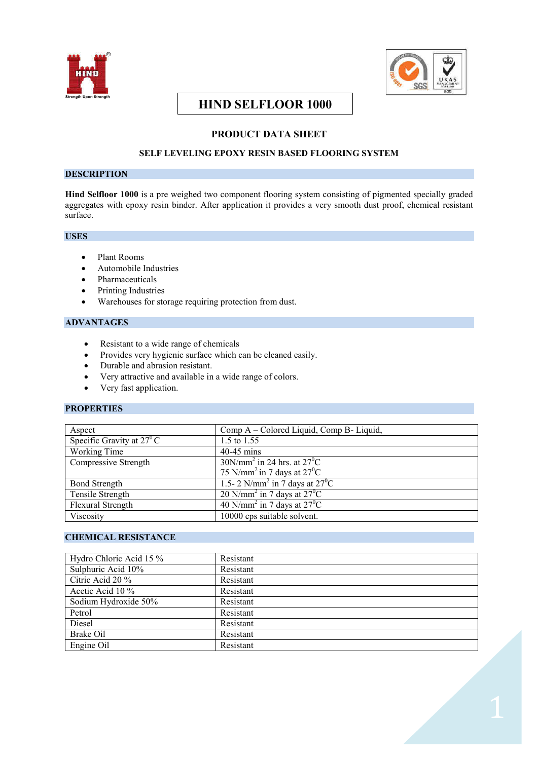



# **HIND SELFLOOR 1000**

# **PRODUCT DATA SHEET**

# **SELF LEVELING EPOXY RESIN BASED FLOORING SYSTEM**

# **DESCRIPTION**

**Hind Selfloor 1000** is a pre weighed two component flooring system consisting of pigmented specially graded aggregates with epoxy resin binder. After application it provides a very smooth dust proof, chemical resistant surface.

### **USES**

- · Plant Rooms
- · Automobile Industries
- · Pharmaceuticals
- · Printing Industries
- · Warehouses for storage requiring protection from dust.

# **ADVANTAGES**

- · Resistant to a wide range of chemicals
- · Provides very hygienic surface which can be cleaned easily.
- Durable and abrasion resistant.
- Very attractive and available in a wide range of colors.
- Very fast application.

### **PROPERTIES**

| Aspect                             | Comp A – Colored Liquid, Comp B- Liquid,                                     |
|------------------------------------|------------------------------------------------------------------------------|
| Specific Gravity at $27^{\circ}$ C | 1.5 to 1.55                                                                  |
| Working Time                       | $40-45$ mins                                                                 |
| Compressive Strength               | $30N/mm^2$ in 24 hrs. at $27^0C$                                             |
|                                    | 75 N/mm <sup>2</sup> in 7 days at $27^{\circ}$ C                             |
| <b>Bond Strength</b>               | 1.5-2 N/mm <sup>2</sup> in 7 days at $27^0C$                                 |
| Tensile Strength                   | 20 N/mm <sup>2</sup> in 7 days at $27^{\circ}$ C                             |
| Flexural Strength                  | $\frac{40 \text{ N/mm}^2}{40 \text{ N/mm}^2}$ in 7 days at 27 <sup>0</sup> C |
| Viscosity                          | 10000 cps suitable solvent.                                                  |

# **CHEMICAL RESISTANCE**

| Hydro Chloric Acid 15 % | Resistant |
|-------------------------|-----------|
| Sulphuric Acid 10%      | Resistant |
| Citric Acid 20 %        | Resistant |
| Acetic Acid 10 %        | Resistant |
| Sodium Hydroxide 50%    | Resistant |
| Petrol                  | Resistant |
| Diesel                  | Resistant |
| Brake Oil               | Resistant |
| Engine Oil              | Resistant |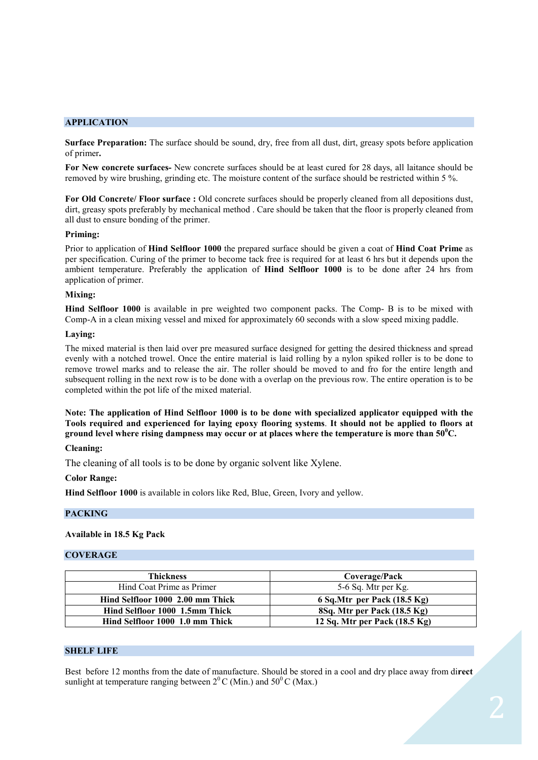### **APPLICATION**

**Surface Preparation:** The surface should be sound, dry, free from all dust, dirt, greasy spots before application of primer**.**

**For New concrete surfaces-** New concrete surfaces should be at least cured for 28 days, all laitance should be removed by wire brushing, grinding etc. The moisture content of the surface should be restricted within 5 %.

**For Old Concrete/ Floor surface :** Old concrete surfaces should be properly cleaned from all depositions dust, dirt, greasy spots preferably by mechanical method . Care should be taken that the floor is properly cleaned from all dust to ensure bonding of the primer.

#### **Priming:**

Prior to application of **Hind Selfloor 1000** the prepared surface should be given a coat of **Hind Coat Prime** as per specification. Curing of the primer to become tack free is required for at least 6 hrs but it depends upon the ambient temperature. Preferably the application of **Hind Selfloor 1000** is to be done after 24 hrs from application of primer.

#### **Mixing:**

**Hind Selfloor 1000** is available in pre weighted two component packs. The Comp- B is to be mixed with Comp-A in a clean mixing vessel and mixed for approximately 60 seconds with a slow speed mixing paddle.

#### **Laying:**

The mixed material is then laid over pre measured surface designed for getting the desired thickness and spread evenly with a notched trowel. Once the entire material is laid rolling by a nylon spiked roller is to be done to remove trowel marks and to release the air. The roller should be moved to and fro for the entire length and subsequent rolling in the next row is to be done with a overlap on the previous row. The entire operation is to be completed within the pot life of the mixed material.

**Note: The application of Hind Selfloor 1000 is to be done with specialized applicator equipped with the Tools required and experienced for laying epoxy flooring systems**. **It should not be applied to floors at ground level where rising dampness may occur or at places where the temperature is more than 50<sup>0</sup>C.** 

### **Cleaning:**

The cleaning of all tools is to be done by organic solvent like Xylene.

#### **Color Range:**

**Hind Selfloor 1000** is available in colors like Red, Blue, Green, Ivory and yellow.

#### **PACKING**

#### **Available in 18.5 Kg Pack**

#### **COVERAGE**

| <b>Thickness</b>                 | Coverage/Pack                           |
|----------------------------------|-----------------------------------------|
| Hind Coat Prime as Primer        | 5-6 Sq. Mtr per Kg.                     |
| Hind Selfloor 1000 2.00 mm Thick | 6 Sq.Mtr per Pack (18.5 Kg)             |
| Hind Selfloor 1000 1.5mm Thick   | 8Sq. Mtr per Pack (18.5 Kg)             |
| Hind Selfloor 1000 1.0 mm Thick  | 12 Sq. Mtr per Pack $(18.5 \text{ kg})$ |

#### **SHELF LIFE**

Best before 12 months from the date of manufacture. Should be stored in a cool and dry place away from di**rect**  sunlight at temperature ranging between  $2^{0}$ C (Min.) and  $50^{0}$ C (Max.)